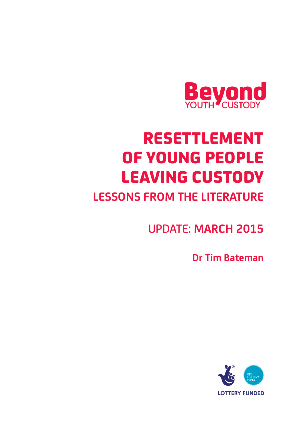

# RESETTLEMENT OF YOUNG PEOPLE LEAVING CUSTODY

# **LESSONS FROM THE LITERATURE**

UPDATE: **MARCH 2015**

**Dr Tim Bateman** 

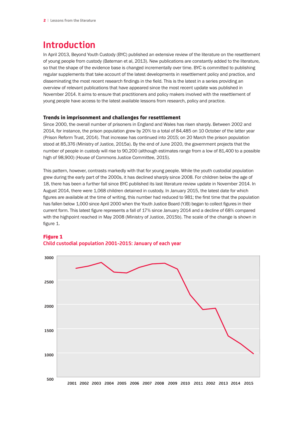# **Introduction**

In April 2013, Beyond Youth Custody (BYC) published an extensive review of the literature on the resettlement of young people from custody (Bateman et al, 2013). New publications are constantly added to the literature, so that the shape of the evidence base is changed incrementally over time. BYC is committed to publishing regular supplements that take account of the latest developments in resettlement policy and practice, and disseminating the most recent research findings in the field. This is the latest in a series providing an overview of relevant publications that have appeared since the most recent update was published in November 2014. It aims to ensure that practitioners and policy makers involved with the resettlement of young people have access to the latest available lessons from research, policy and practice.

#### Trends in imprisonment and challenges for resettlement

Since 2000, the overall number of prisoners in England and Wales has risen sharply. Between 2002 and 2014, for instance, the prison population grew by 20% to a total of 84,485 on 10 October of the latter year (Prison Reform Trust, 2014). That increase has continued into 2015; on 20 March the prison population stood at 85,376 (Ministry of Justice, 2015a). By the end of June 2020, the government projects that the number of people in custody will rise to 90,200 (although estimates range from a low of 81,400 to a possible high of 98,900) (House of Commons Justice Committee, 2015).

This pattern, however, contrasts markedly with that for young people. While the youth custodial population grew during the early part of the 2000s, it has declined sharply since 2008. For children below the age of 18, there has been a further fall since BYC published its last literature review update in November 2014. In August 2014, there were 1,068 children detained in custody. In January 2015, the latest date for which figures are available at the time of writing, this number had reduced to 981; the first time that the population has fallen below 1,000 since April 2000 when the Youth Justice Board (YJB) began to collect figures in their current form. This latest figure represents a fall of 17% since January 2014 and a decline of 68% compared with the highpoint reached in May 2008 (Ministry of Justice, 2015b). The scale of the change is shown in figure 1.



#### Figure 1 **Child custodial population 2001-2015: January of each year**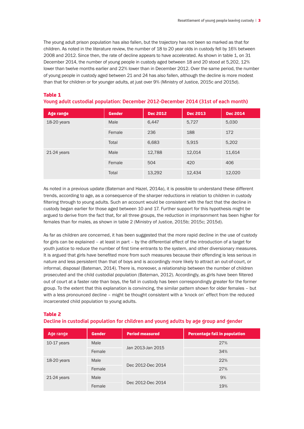The young adult prison population has also fallen, but the trajectory has not been so marked as that for children. As noted in the literature review, the number of 18 to 20 year olds in custody fell by 16% between 2008 and 2012. Since then, the rate of decline appears to have accelerated. As shown in table 1, on 31 December 2014, the number of young people in custody aged between 18 and 20 stood at 5,202, 12% lower than twelve months earlier and 22% lower than in December 2012. Over the same period, the number of young people in custody aged between 21 and 24 has also fallen, although the decline is more modest than that for children or for younger adults, at just over 9% (Ministry of Justice, 2015c and 2015d).

#### Table 1

| Young adult custodial population: December 2012-December 2014 (31st of each month) |  |  |  |
|------------------------------------------------------------------------------------|--|--|--|
|                                                                                    |  |  |  |

| Age range     | <b>Gender</b> | <b>Dec 2012</b> | <b>Dec 2013</b> | <b>Dec 2014</b> |
|---------------|---------------|-----------------|-----------------|-----------------|
| 18-20 years   | Male          | 6,447           | 5,727           | 5,030           |
|               | Female        | 236             | 188             | 172             |
|               | Total         | 6,683           | 5,915           | 5,202           |
| $21-24$ years | Male          | 12,788          | 12,014          | 11,614          |
|               | Female        | 504             | 420             | 406             |
|               | Total         | 13,292          | 12,434          | 12,020          |

As noted in a previous update (Bateman and Hazel, 2014a), it is possible to understand these different trends, according to age, as a consequence of the sharper reductions in relation to children in custody filtering through to young adults. Such an account would be consistent with the fact that the decline in custody began earlier for those aged between 10 and 17. Further support for this hypothesis might be argued to derive from the fact that, for all three groups, the reduction in imprisonment has been higher for females than for males, as shown in table 2 (Ministry of Justice, 2015b; 2015c; 2015d).

As far as children are concerned, it has been suggested that the more rapid decline in the use of custody for girls can be explained – at least in part – by the differential effect of the introduction of a target for youth justice to reduce the number of first time entrants to the system, and other diversionary measures. It is argued that girls have benefited more from such measures because their offending is less serious in nature and less persistent than that of boys and is accordingly more likely to attract an out-of-court, or informal, disposal (Bateman, 2014). There is, moreover, a relationship between the number of children prosecuted and the child custodial population (Bateman, 2012). Accordingly, as girls have been filtered out of court at a faster rate than boys, the fall in custody has been correspondingly greater for the former group. To the extent that this explanation is convincing, the similar pattern shown for older females – but with a less pronounced decline – might be thought consistent with a 'knock on' effect from the reduced incarcerated child population to young adults.

#### Table 2

#### **Decline in custodial population for children and young adults by age group and gender**

| Age range     | <b>Gender</b> | <b>Period measured</b> | <b>Percentage fall in population</b> |
|---------------|---------------|------------------------|--------------------------------------|
| $10-17$ years | Male          |                        | 27%                                  |
|               | Female        | Jan 2013-Jan 2015      | 34%                                  |
| $18-20$ years | Male          |                        | 22%                                  |
|               | Female        | Dec 2012-Dec 2014      | 27%                                  |
| $21-24$ years | Male          |                        | 9%                                   |
|               | Female        | Dec 2012-Dec 2014      | 19%                                  |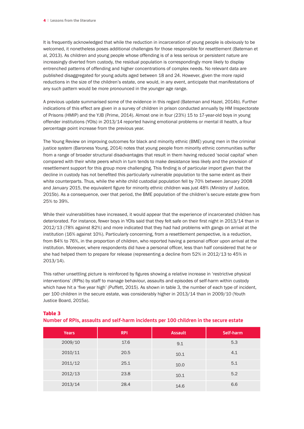It is frequently acknowledged that while the reduction in incarceration of young people is obviously to be welcomed, it nonetheless poses additional challenges for those responsible for resettlement (Bateman et al, 2013). As children and young people whose offending is of a less serious or persistent nature are increasingly diverted from custody, the residual population is correspondingly more likely to display entrenched patterns of offending and higher concentrations of complex needs. No relevant data are published disaggregated for young adults aged between 18 and 24. However, given the more rapid reductions in the size of the children's estate, one would, in any event, anticipate that manifestations of any such pattern would be more pronounced in the younger age range.

A previous update summarised some of the evidence in this regard (Bateman and Hazel, 2014b). Further indications of this effect are given in a survey of children in prison conducted annually by HM Inspectorate of Prisons (HMIP) and the YJB (Prime, 2014). Almost one in four (23%) 15 to 17-year-old boys in young offender institutions (YOIs) in 2013/14 reported having emotional problems or mental ill health, a four percentage point increase from the previous year.

The Young Review on improving outcomes for black and minority ethnic (BME) young men in the criminal justice system (Baroness Young, 2014) notes that young people from minority ethnic communities suffer from a range of broader structural disadvantages that result in them having reduced 'social capital' when compared with their white peers which in turn tends to make desistance less likely and the provision of resettlement support for this group more challenging. This finding is of particular import given that the decline in custody has not benefited this particularly vulnerable population to the same extent as their white counterparts. Thus, while the white child custodial population fell by 70% between January 2008 and January 2015, the equivalent figure for minority ethnic children was just 48% (Ministry of Justice, 2015b). As a consequence, over that period, the BME population of the children's secure estate grew from 25% to 39%.

While their vulnerabilities have increased, it would appear that the experience of incarcerated children has deteriorated. For instance, fewer boys in YOIs said that they felt safe on their first night in 2013/14 than in 2012/13 (78% against 82%) and more indicated that they had had problems with gangs on arrival at the institution (16% against 10%). Particularly concerning, from a resettlement perspective, is a reduction, from 84% to 76%, in the proportion of children, who reported having a personal officer upon arrival at the institution. Moreover, where respondents did have a personal officer, less than half considered that he or she had helped them to prepare for release (representing a decline from 52% in 2012/13 to 45% in 2013/14).

This rather unsettling picture is reinforced by figures showing a relative increase in 'restrictive physical interventions' (RPIs) by staff to manage behaviour, assaults and episodes of self-harm within custody which have hit a 'five year high' (Puffett, 2015). As shown in table 3, the number of each type of incident, per 100 children in the secure estate, was considerably higher in 2013/14 than in 2009/10 (Youth Justice Board, 2015a).

| . .          |            | . .            |           |
|--------------|------------|----------------|-----------|
| <b>Years</b> | <b>RPI</b> | <b>Assault</b> | Self-harm |
| 2009/10      | 17.6       | 9.1            | 5.3       |
| 2010/11      | 20.5       | 10.1           | 4.1       |
| 2011/12      | 25.1       | 10.0           | 5.1       |
| 2012/13      | 23.8       | 10.1           | 5.2       |
| 2013/14      | 28.4       | 14.6           | 6.6       |

#### Table 3

**Number of RPIs, assaults and self-harm incidents per 100 children in the secure estate**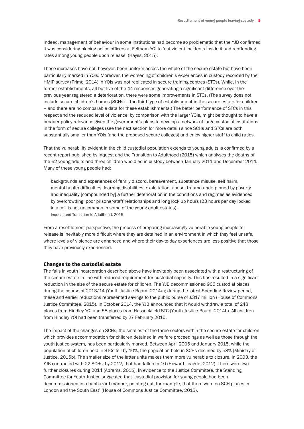Indeed, management of behaviour in some institutions had become so problematic that the YJB confirmed it was considering placing police officers at Feltham YOI to 'cut violent incidents inside it and reoffending rates among young people upon release' (Hayes, 2015).

These increases have not, however, been uniform across the whole of the secure estate but have been particularly marked in YOIs. Moreover, the worsening of children's experiences in custody recorded by the HMIP survey (Prime, 2014) in YOIs was not replicated in secure training centres (STCs). While, in the former establishments, all but five of the 44 responses generating a significant difference over the previous year registered a deterioration, there were some improvements in STCs. (The survey does not include secure children's homes (SCHs) – the third type of establishment in the secure estate for children – and there are no comparable data for these establishments.) The better performance of STCs in this respect and the reduced level of violence, by comparison with the larger YOIs, might be thought to have a broader policy relevance given the government's plans to develop a network of large custodial institutions in the form of secure colleges (see the next section for more detail) since SCHs and STCs are both substantially smaller than YOIs (and the proposed secure colleges) and enjoy higher staff to child ratios.

That the vulnerability evident in the child custodial population extends to young adults is confirmed by a recent report published by Inquest and the Transition to Adulthood (2015) which analyses the deaths of the 62 young adults and three children who died in custody between January 2011 and December 2014. Many of these young people had:

backgrounds and experiences of family discord, bereavement, substance misuse, self harm, mental health difficulties, learning disabilities, exploitation, abuse, trauma underpinned by poverty and inequality [compounded by] a further deterioration in the conditions and regimes as evidenced by overcrowding, poor prisoner-staff relationships and long lock up hours (23 hours per day locked in a cell is not uncommon in some of the young adult estates). Inquest and Transition to Adulthood, 2015

From a resettlement perspective, the process of preparing increasingly vulnerable young people for release is inevitably more difficult where they are detained in an environment in which they feel unsafe, where levels of violence are enhanced and where their day-to-day experiences are less positive that those they have previously experienced.

#### Changes to the custodial estate

The falls in youth incarceration described above have inevitably been associated with a restructuring of the secure estate in line with reduced requirement for custodial capacity. This has resulted in a significant reduction in the size of the secure estate for children. The YJB decommissioned 905 custodial places during the course of 2013/14 (Youth Justice Board, 2014a); during the latest Spending Review period, these and earlier reductions represented savings to the public purse of £317 million (House of Commons Justice Committee, 2015). In October 2014, the YJB announced that it would withdraw a total of 248 places from Hindley YOI and 58 places from Hassockfield STC (Youth Justice Board, 2014b). All children from Hindley YOI had been transferred by 27 February 2015.

The impact of the changes on SCHs, the smallest of the three sectors within the secure estate for children which provides accommodation for children detained in welfare proceedings as well as those through the youth justice system, has been particularly marked. Between April 2005 and January 2015, while the population of children held in STCs fell by 10%, the population held in SCHs declined by 58% (Ministry of Justice, 2015b). The smaller size of the latter units makes them more vulnerable to closure. In 2003, the YJB contracted with 22 SCHs; by 2012, that had fallen to 10 (Howard League, 2012). There were two further closures during 2014 (Abrams, 2015). In evidence to the Justice Committee, the Standing Committee for Youth Justice suggested that 'custodial provision for young people had been decommissioned in a haphazard manner, pointing out, for example, that there were no SCH places in London and the South East' (House of Commons Justice Committee, 2015).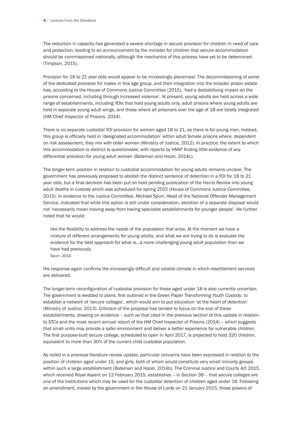The reduction in capacity has generated a severe shortage in secure provision for children in need of care and protection, leading to an announcement by the minister for children that secure accommodation should be commissioned nationally, although the mechanics of this process have yet to be determined (Timpson, 2015).

Provision for 18 to 21 year olds would appear to be increasingly piecemeal. The decommissioning of some of the dedicated provision for males in this age group, and their integration into the broader prison estate has, according to the House of Commons Justice Committee (2015), 'had a destabilising impact on the prisons concerned, including through increased violence'. At present, young adults are held across a wide range of establishments, including YOIs that hold young adults only, adult prisons where young adults are held in separate young adult wings, and those where all prisoners over the age of 18 are totally integrated (HM Chief Inspector of Prisons, 2014).

There is no separate custodial YOI provision for women aged 18 to 21, as there is for young men. Instead, this group is officially held in 'designated accommodation' within adult female prisons where, dependent on risk assessment, they mix with older women (Ministry of Justice, 2012). In practice, the extent to which this accommodation is distinct is questionable, with reports by HMIP finding little evidence of any differential provision for young adult women (Bateman and Hazel, 2014c).

The longer-term position in relation to custodial accommodation for young adults remains unclear. The government has previously proposed to abolish the distinct sentence of detention in a YOI for 18 to 21 year olds, but a final decision has been put on hold pending publication of the Harris Review into young adult deaths in custody which was scheduled for spring 2015 (House of Commons Justice Committee, 2015). In evidence to the Justice Committee, Michael Spurr, Head of the National Offender Management Service, indicated that while this option is still under consideration, abolition of a separate disposal would not 'necessarily mean moving away from having specialist establishments for younger people'. He further noted that he would:

like the flexibility to address the needs of the population that arise. At the moment we have a mixture of different arrangements for young adults, and what we are trying to do is evaluate the evidence for the best approach for what is…a more challenging young adult population than we have had previously.

Spurr, 2014

His response again confirms the increasingly difficult and volatile climate in which resettlement services are delivered.

The longer-term reconfiguration of custodial provision for those aged under 18 is also currently uncertain. The government is wedded to plans, first outlined in the Green Paper *Transforming Youth Custody*, to establish a network of 'secure colleges', which would aim to put education 'at the heart of detention' (Ministry of Justice, 2013). Criticism of the proposal has tended to focus on the size of these establishments, drawing on evidence – such as that cited in the previous section of this update in relation to STCs and the most recent annual report of the HM Chief Inspector of Prisons (2014) – which suggests that small units may provide a safer environment and deliver a better experience for vulnerable children. The first purpose-built secure college, scheduled to open in April 2017, is projected to hold 320 children, equivalent to more than 30% of the current child custodial population.

As noted in a previous literature review update, particular concerns have been expressed in relation to the position of children aged under 15, and girls, both of whom would constitute very small minority groups within such a large establishment (Bateman and Hazel, 2014b). The Criminal Justice and Courts Act 2015, which received Royal Assent on 12 February 2015, establishes – in Section 38 – that secure colleges are one of the institutions which may be used for the custodial detention of children aged under 18. Following an amendment, moved by the government in the House of Lords on 21 January 2015, those powers of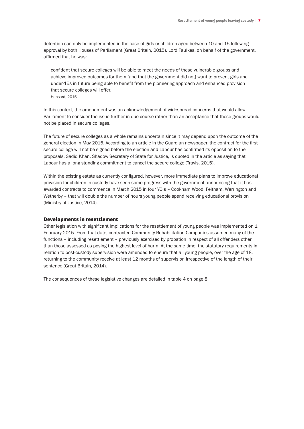detention can only be implemented in the case of girls or children aged between 10 and 15 following approval by both Houses of Parliament (Great Britain, 2015). Lord Faulkes, on behalf of the government, affirmed that he was:

confident that secure colleges will be able to meet the needs of these vulnerable groups and achieve improved outcomes for them [and that the government did not] want to prevent girls and under-15s in future being able to benefit from the pioneering approach and enhanced provision that secure colleges will offer. Hansard, 2015

In this context, the amendment was an acknowledgement of widespread concerns that would allow Parliament to consider the issue further in due course rather than an acceptance that these groups would not be placed in secure colleges.

The future of secure colleges as a whole remains uncertain since it may depend upon the outcome of the general election in May 2015. According to an article in the Guardian newspaper, the contract for the first secure college will not be signed before the election and Labour has confirmed its opposition to the proposals. Sadiq Khan, Shadow Secretary of State for Justice, is quoted in the article as saying that Labour has a long standing commitment to cancel the secure college (Travis, 2015).

Within the existing estate as currently configured, however, more immediate plans to improve educational provision for children in custody have seen some progress with the government announcing that it has awarded contracts to commence in March 2015 in four YOIs – Cookham Wood, Feltham, Werrington and Wetherby – that will double the number of hours young people spend receiving educational provision (Ministry of Justice, 2014).

#### Developments in resettlement

Other legislation with significant implications for the resettlement of young people was implemented on 1 February 2015. From that date, contracted Community Rehabilitation Companies assumed many of the functions – including resettlement – previously exercised by probation in respect of all offenders other than those assessed as posing the highest level of harm. At the same time, the statutory requirements in relation to post-custody supervision were amended to ensure that all young people, over the age of 18, returning to the community receive at least 12 months of supervision irrespective of the length of their sentence (Great Britain, 2014).

The consequences of these legislative changes are detailed in table 4 on page 8.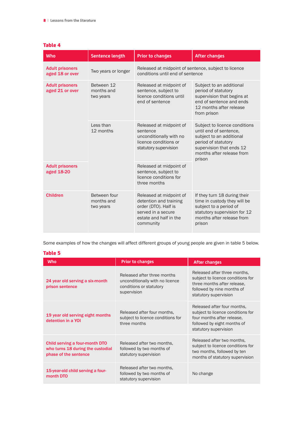| <b>Who</b>                                | Sentence length                         | <b>Prior to changes</b>                                                                                                                | <b>After changes</b>                                                                                                                                                          |  |
|-------------------------------------------|-----------------------------------------|----------------------------------------------------------------------------------------------------------------------------------------|-------------------------------------------------------------------------------------------------------------------------------------------------------------------------------|--|
| <b>Adult prisoners</b><br>aged 18 or over | Two years or longer                     | Released at midpoint of sentence, subject to licence<br>conditions until end of sentence                                               |                                                                                                                                                                               |  |
| <b>Adult prisoners</b><br>aged 21 or over | Between 12<br>months and<br>two years   | Released at midpoint of<br>sentence, subject to<br>licence conditions until<br>end of sentence                                         | Subject to an additional<br>period of statutory<br>supervision that begins at<br>end of sentence and ends<br>12 months after release<br>from prison                           |  |
|                                           | Less than<br>12 months                  | Released at midpoint of<br>sentence<br>unconditionally with no<br>licence conditions or<br>statutory supervision                       | Subject to licence conditions<br>until end of sentence.<br>subject to an additional<br>period of statutory<br>supervision that ends 12<br>months after release from<br>prison |  |
| <b>Adult prisoners</b><br>aged 18-20      |                                         | Released at midpoint of<br>sentence, subject to<br>licence conditions for<br>three months                                              |                                                                                                                                                                               |  |
| <b>Children</b>                           | Between four<br>months and<br>two years | Released at midpoint of<br>detention and training<br>order (DTO). Half is<br>served in a secure<br>estate and half in the<br>community | If they turn 18 during their<br>time in custody they will be<br>subject to a period of<br>statutory supervision for 12<br>months after release from<br>prison                 |  |

#### Table 4

Some examples of how the changes will affect different groups of young people are given in table 5 below.

#### Table 5

| <b>Who</b>                                                                                   | <b>Prior to changes</b>                                                                                  | After changes                                                                                                                                           |
|----------------------------------------------------------------------------------------------|----------------------------------------------------------------------------------------------------------|---------------------------------------------------------------------------------------------------------------------------------------------------------|
| 24 year old serving a six-month<br>prison sentence                                           | Released after three months<br>unconditionally with no licence<br>conditions or statutory<br>supervision | Released after three months.<br>subject to licence conditions for<br>three months after release.<br>followed by nine months of<br>statutory supervision |
| 19 year old serving eight months<br>detention in a YOI                                       | Released after four months,<br>subject to licence conditions for<br>three months                         | Released after four months,<br>subject to licence conditions for<br>four months after release.<br>followed by eight months of<br>statutory supervision  |
| Child serving a four-month DTO<br>who turns 18 during the custodial<br>phase of the sentence | Released after two months,<br>followed by two months of<br>statutory supervision                         | Released after two months,<br>subject to licence conditions for<br>two months, followed by ten<br>months of statutory supervision                       |
| 15-year-old child serving a four-<br>month DTO                                               | Released after two months.<br>followed by two months of<br>statutory supervision                         | No change                                                                                                                                               |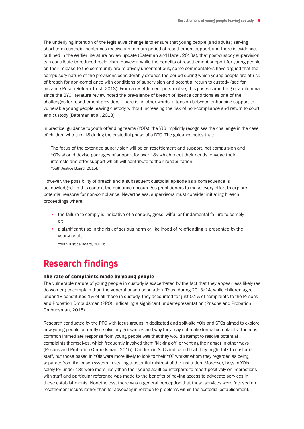The underlying intention of the legislative change is to ensure that young people (and adults) serving short-term custodial sentences receive a minimum period of resettlement support and there is evidence, outlined in the earlier literature review update (Bateman and Hazel, 2013a), that post-custody supervision can contribute to reduced recidivism. However, while the benefits of resettlement support for young people on their release to the community are relatively uncontentious, some commentators have argued that the compulsory nature of the provisions considerably extends the period during which young people are at risk of breach for non-compliance with conditions of supervision and potential return to custody (see for instance Prison Reform Trust, 2013). From a resettlement perspective, this poses something of a dilemma since the BYC literature review noted the prevalence of breach of licence conditions as one of the challenges for resettlement providers. There is, in other words, a tension between enhancing support to vulnerable young people leaving custody without increasing the risk of non-compliance and return to court and custody (Bateman et al, 2013).

In practice, guidance to youth offending teams (YOTs), the YJB implicitly recognises the challenge in the case of children who turn 18 during the custodial phase of a DTO. The guidance notes that:

The focus of the extended supervision will be on resettlement and support, not compulsion and YOTs should devise packages of support for over 18s which meet their needs, engage their interests and offer support which will contribute to their rehabilitation. Youth Justice Board, 2015b

However, the possibility of breach and a subsequent custodial episode as a consequence is acknowledged. In this context the guidance encourages practitioners to make every effort to explore potential reasons for non-compliance. Nevertheless, supervisors must consider initiating breach proceedings where:

- the failure to comply is indicative of a serious, gross, wilful or fundamental failure to comply or;
- a significant rise in the risk of serious harm or likelihood of re-offending is presented by the young adult.

Youth Justice Board, 2015b

## **Research findings**

#### The rate of complaints made by young people

The vulnerable nature of young people in custody is exacerbated by the fact that they appear less likely (as do women) to complain than the general prison population. Thus, during 2013/14, while children aged under 18 constituted 1% of all those in custody, they accounted for just 0.1% of complaints to the Prisons and Probation Ombudsman (PPO), indicating a significant underrepresentation (Prisons and Probation Ombudsman, 2015).

Research conducted by the PPO with focus groups in dedicated and split-site YOIs and STCs aimed to explore how young people currently resolve any grievances and why they may not make formal complaints. The most common immediate response from young people was that they would attempt to resolve potential complaints themselves, which frequently involved them 'kicking off' or venting their anger in other ways (Prisons and Probation Ombudsman, 2015). Children in STCs indicated that they might talk to custodial staff, but those based in YOIs were more likely to look to their YOT worker whom they regarded as being separate from the prison system, revealing a potential mistrust of the institution. Moreover, boys in YOIs solely for under 18s were more likely than their young adult counterparts to report positively on interactions with staff and particular reference was made to the benefits of having access to advocate services in these establishments. Nonetheless, there was a general perception that these services were focused on resettlement issues rather than for advocacy in relation to problems within the custodial establishment.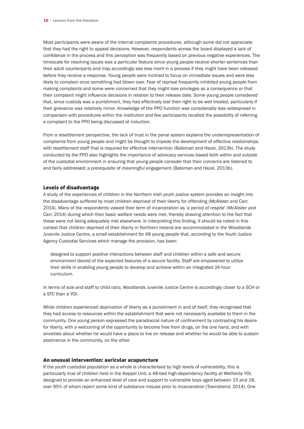Most participants were aware of the internal complaints procedures, although some did not appreciate that they had the right to appeal decisions. However, respondents across the board displayed a lack of confidence in the process and this perception was frequently based on previous negative experiences. The timescale for resolving issues was a particular feature since young people receive shorter sentences than their adult counterparts and may accordingly see less merit in a process if they might have been released before they receive a response. Young people were inclined to focus on immediate issues and were less likely to complain once something had blown over. Fear of reprisal frequently inhibited young people from making complaints and some were concerned that they might lose privileges as a consequence or that their complaint might influence decisions in relation to their release date. Some young people considered that, since custody was a punishment, they had effectively lost their right to be well treated, particularly if their grievance was relatively minor. Knowledge of the PPO function was considerably less widespread in comparison with procedures within the institution and few participants recalled the possibility of referring a complaint to the PPO being discussed at induction.

From a resettlement perspective, the lack of trust in the penal system explains the underrepresentation of complaints from young people and might be thought to impede the development of effective relationships with resettlement staff that is required for effective intervention (Bateman and Hazel, 2013b). The study conducted by the PPO also highlights the importance of advocacy services based both within and outside of the custodial environment in ensuring that young people consider that their concerns are listened to and fairly addressed; a prerequisite of meaningful engagement (Bateman and Hazel, 2013b).

#### Levels of disadvantage

A study of the experiences of children in the Northern Irish youth justice system provides an insight into the disadvantage suffered by most children deprived of their liberty for offending (McAlister and Carr, 2014). Many of the respondents viewed their term of incarceration as 'a period of respite' (McAlister and Carr, 2014) during which their basic welfare needs were met, thereby drawing attention to the fact that these were not being adequately met elsewhere. In interpreting this finding, it should be noted in this context that children deprived of their liberty in Northern Ireland are accommodated in the Woodlands Juvenile Justice Centre, a small establishment for 48 young people that, according to the Youth Justice Agency Custodial Services which manage the provision, has been:

designed to support positive interactions between staff and children within a safe and secure environment devoid of the expected features of a secure facility. Staff are empowered to utilize their skills in enabling young people to develop and achieve within an integrated 24 hour curriculum.

In terms of size and staff to child ratio, Woodlands Juvenile Justice Centre is accordingly closer to a SCH or a STC than a YOI.

While children experienced deprivation of liberty as a punishment in and of itself, they recognised that they had access to resources within the establishment that were not necessarily available to them in the community. One young person expressed the paradoxical nature of confinement by contrasting his desire for liberty, with a welcoming of the opportunity to become free from drugs, on the one hand, and with anxieties about whether he would have a place to live on release and whether he would be able to sustain abstinence in the community, on the other.

#### An unusual intervention: auricular acupuncture

If the youth custodial population as a whole is characterised by high levels of vulnerability, this is particularly true of children held in the Keppel Unit, a 48-bed high-dependency facility at Wetherby YOI, designed to provide an enhanced level of care and support to vulnerable boys aged between 15 and 18, over 95% of whom report some kind of substance misuse prior to incarceration (Townshend, 2014). One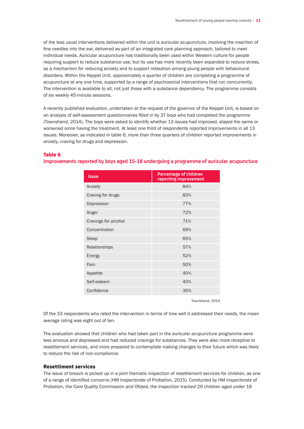of the less usual interventions delivered within the unit is auricular acupuncture, involving the insertion of fine needles into the ear, delivered as part of an integrated care planning approach, tailored to meet individual needs. Auricular acupuncture has traditionally been used within Western culture for people requiring support to reduce substance use, but its use has more recently been expanded to reduce stress, as a mechanism for reducing anxiety and to support relaxation among young people with behavioural disorders. Within the Keppel Unit, approximately a quarter of children are completing a programme of acupuncture at any one time, supported by a range of psychosocial interventions that run concurrently. The intervention is available to all, not just those with a substance dependency. The programme consists of six weekly 45-minute sessions.

A recently published evaluation, undertaken at the request of the governor of the Keppel Unit, is based on an analysis of self-assessment questionnaires filled in by 37 boys who had completed the programme (Townshend, 2014). The boys were asked to identify whether 13 issues had improved, stayed the same or worsened since having the treatment. At least one third of respondents reported improvements in all 13 issues. Moreover, as indicated in table 6, more than three quarters of children reported improvements in anxiety, craving for drugs and depression.

#### Table 6

**Improvements reported by boys aged 15-18 undergoing a programme of auricular acupuncture**

| <b>Issue</b>         | Percentage of children<br>reporting improvement |
|----------------------|-------------------------------------------------|
| Anxiety              | 84%                                             |
| Craving for drugs    | 83%                                             |
| Depression           | 77%                                             |
| Anger                | 72%                                             |
| Cravings for alcohol | 71%                                             |
| Concentration        | 69%                                             |
| Sleep                | 65%                                             |
| Relationships        | 57%                                             |
| Energy               | 52%                                             |
| Pain                 | 50%                                             |
| Appetite             | 40%                                             |
| Self-esteem          | 40%                                             |
| Confidence           | 35%                                             |

Townshend, 2014

Of the 33 respondents who rated the intervention in terms of how well it addressed their needs, the mean average rating was eight out of ten.

The evaluation showed that children who had taken part in the auricular acupuncture programme were less anxious and depressed and had reduced cravings for substances. They were also more receptive to resettlement services, and more prepared to contemplate making changes to their future which was likely to reduce the risk of non-compliance.

#### Resettlment services

The issue of breach is picked up in a joint thematic inspection of resettlement services for children, as one of a range of identified concerns (HM Inspectorate of Probation, 2015). Conducted by HM Inspectorate of Probation, the Care Quality Commission and Ofsted, the inspection tracked 29 children aged under 18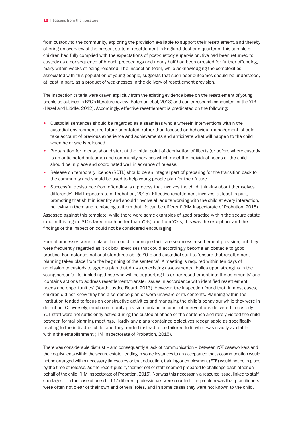from custody to the community, exploring the provision available to support their resettlement, and thereby offering an overview of the present state of resettlement in England. Just one quarter of this sample of children had fully complied with the expectations of post-custody supervision, five had been returned to custody as a consequence of breach proceedings and nearly half had been arrested for further offending, many within weeks of being released. The inspection team, while acknowledging the complexities associated with this population of young people, suggests that such poor outcomes should be understood, at least in part, as a product of weaknesses in the delivery of resettlement provision.

The inspection criteria were drawn explicitly from the existing evidence base on the resettlement of young people as outlined in BYC's literature review (Bateman et al, 2013) and earlier research conducted for the YJB (Hazel and Liddle, 2012). Accordingly, effective resettlement is predicated on the following:

- Custodial sentences should be regarded as a seamless whole wherein interventions within the custodial environment are future orientated, rather than focused on behaviour management, should take account of previous experience and achievements and anticipate what will happen to the child when he or she is released.
- Preparation for release should start at the initial point of deprivation of liberty (or before where custody is an anticipated outcome) and community services which meet the individual needs of the child should be in place and coordinated well in advance of release.
- Release on temporary licence (ROTL) should be an integral part of preparing for the transition back to the community and should be used to help young people plan for their future.
- Successful desistance from offending is a process that involves the child 'thinking about themselves differently' (HM Inspectorate of Probation, 2015). Effective resettlement involves, at least in part, promoting that shift in identity and should 'involve all adults working with the child at every interaction, believing in them and reinforcing to them that life can be different' (HM Inspectorate of Probation, 2015).

Assessed against this template, while there were some examples of good practice within the secure estate (and in this regard STCs fared much better than YOIs) and from YOTs, this was the exception, and the findings of the inspection could not be considered encouraging.

Formal processes were in place that could in principle facilitate seamless resettlement provision, but they were frequently regarded as 'tick box' exercises that could accordingly become an obstacle to good practice. For instance, national standards oblige YOTs and custodial staff to 'ensure that resettlement planning takes place from the beginning of the sentence'. A meeting is required within ten days of admission to custody to agree a plan that draws on existing assessments, 'builds upon strengths in the young person's life, including those who will be supporting his or her resettlement into the community' and 'contains actions to address resettlement/transfer issues in accordance with identified resettlement needs and opportunities' (Youth Justice Board, 2013). However, the inspection found that, in most cases, children did not know they had a sentence plan or were unaware of its contents. Planning within the institution tended to focus on constructive activities and managing the child's behaviour while they were in detention. Conversely, much community provision took no account of interventions delivered in custody. YOT staff were not sufficiently active during the custodial phase of the sentence and rarely visited the child between formal planning meetings. Hardly any plans 'contained objectives recognisable as specifically relating to the individual child' and they tended instead to be tailored to fit what was readily available within the establishment (HM Inspectorate of Probation, 2015).

There was considerable distrust – and consequently a lack of communication – between YOT caseworkers and their equivalents within the secure estate, leading in some instances to an acceptance that accommodation would not be arranged within necessary timescales or that education, training or employment (ETE) would not be in place by the time of release. As the report puts it, 'neither set of staff seemed prepared to challenge each other on behalf of the child' (HM Inspectorate of Probation, 2015). Nor was this necessarily a resource issue, linked to staff shortages – in the case of one child 17 different professionals were counted. The problem was that practitioners were often not clear of their own and others' roles, and in some cases they were not known to the child.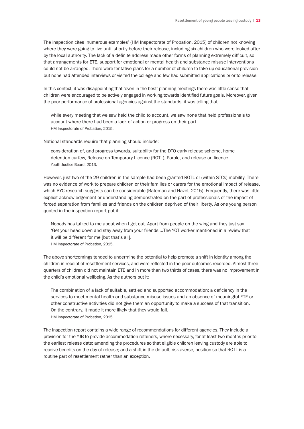The inspection cites 'numerous examples' (HM Inspectorate of Probation, 2015) of children not knowing where they were going to live until shortly before their release, including six children who were looked after by the local authority. The lack of a definite address made other forms of planning extremely difficult, so that arrangements for ETE, support for emotional or mental health and substance misuse interventions could not be arranged. There were tentative plans for a number of children to take up educational provision but none had attended interviews or visited the college and few had submitted applications prior to release.

In this context, it was disappointing that 'even in the best' planning meetings there was little sense that children were encouraged to be actively engaged in working towards identified future goals. Moreover, given the poor performance of professional agencies against the standards, it was telling that:

while every meeting that we saw held the child to account, we saw none that held professionals to account where there had been a lack of action or progress on their part. HM Inspectorate of Probation, 2015.

National standards require that planning should include:

consideration of, and progress towards, suitability for the DTO early release scheme, home detention curfew, Release on Temporary Licence (ROTL), Parole, and release on licence. Youth Justice Board, 2013.

However, just two of the 29 children in the sample had been granted ROTL or (within STCs) mobility. There was no evidence of work to prepare children or their families or carers for the emotional impact of release, which BYC research suggests can be considerable (Bateman and Hazel, 2015). Frequently, there was little explicit acknowledgement or understanding demonstrated on the part of professionals of the impact of forced separation from families and friends on the children deprived of their liberty. As one young person quoted in the inspection report put it:

Nobody has talked to me about when I get out. Apart from people on the wing and they just say 'Get your head down and stay away from your friends'…The YOT worker mentioned in a review that it will be different for me [but that's all]. HM Inspectorate of Probation, 2015.

The above shortcomings tended to undermine the potential to help promote a shift in identity among the children in receipt of resettlement services, and were reflected in the poor outcomes recorded. Almost three quarters of children did not maintain ETE and in more than two thirds of cases, there was no improvement in the child's emotional wellbeing. As the authors put it:

The combination of a lack of suitable, settled and supported accommodation; a deficiency in the services to meet mental health and substance misuse issues and an absence of meaningful ETE or other constructive activities did not give them an opportunity to make a success of that transition. On the contrary, it made it more likely that they would fail. HM Inspectorate of Probation, 2015.

The inspection report contains a wide range of recommendations for different agencies. They include a provision for the YJB to provide accommodation retainers, where necessary, for at least two months prior to the earliest release date; amending the procedures so that eligible children leaving custody are able to receive benefits on the day of release; and a shift in the default, risk-averse, position so that ROTL is a routine part of resettlement rather than an exception.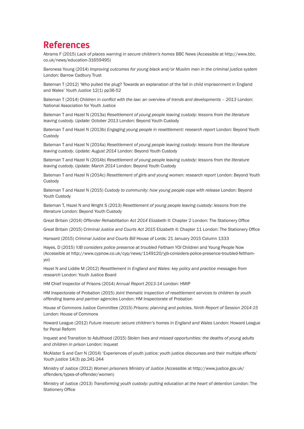## **References**

Abrams F (2015) *Lack of places warning in secure children's homes* BBC News (Accessible at http://www.bbc. co.uk/news/education-31659495)

Baroness Young (2014) *Improving outcomes for young black and/or Muslim men in the criminal justice system* London: Barrow Cadbury Trust

Bateman T (2012) 'Who pulled the plug? Towards an explanation of the fall in child imprisonment in England and Wales' *Youth Justice* 12(1) pp36-52

Bateman T (2014) *Children in conflict with the law: an overview of trends and developments – 2013* London: National Association for Youth Justice

Bateman T and Hazel N (2013a) *Resettlement of young people leaving custody: lessons from the literature leaving custody. Update: October 2013* London: Beyond Youth Custody

Bateman T and Hazel N (2013b) *Engaging young people in resettlement: research report* London: Beyond Youth **Custody** 

Bateman T and Hazel N (2014a) *Resettlement of young people leaving custody: lessons from the literature leaving custody*. *Update: August 2014* London: Beyond Youth Custody

Bateman T and Hazel N (2014b) *Resettlement of young people leaving custody: lessons from the literature leaving custody. Update: March 2014* London: Beyond Youth Custody

Bateman T and Hazel N (2014c) *Resettlement of girls and young women: research report* London: Beyond Youth **Custody** 

Bateman T and Hazel N (2015) *Custody to community: how young people cope with release* London: Beyond Youth Custody

Bateman T, Hazel N and Wright S (2013) *Resettlement of young people leaving custody: lessons from the literature* London: Beyond Youth Custody

Great Britain (2014) *Offender Rehabilitation Act 2014* Elizabeth II: Chapter 2 London: The Stationery Office

Great Britain (2015) *Criminal Justice and Courts Act 2015* Elizabeth II: Chapter 11 London: The Stationery Office

Hansard (2015) *Criminal Justice and Courts Bill* House of Lords: 21 January 2015 Column 1333

Hayes, D (2015) *YJB considers police presence at troubled Feltham YOI* Children and Young People Now (Accessible at http://www.cypnow.co.uk/cyp/news/1149120/yjb-considers-police-presence-troubled-felthamyoi)

Hazel N and Liddle M (2012) *Resettlement in England and Wales: key policy and practice messages from research* London: Youth Justice Board

HM Chief Inspector of Prisons (2014) *Annual Report 2013-14* London: HMIP

HM Inspectorate of Probation (2015) *Joint thematic inspection of resettlement services to children by youth offending teams and partner agencies* London: HM Inspectorate of Probation

House of Commons Justice Committee (2015) *Prisons: planning and policies. Ninth Report of Session 2014-15* London: House of Commons

Howard League (2012) *Future insecure: secure children's homes in England and Wales* London: Howard League for Penal Reform

Inquest and Transition to Adulthood (2015) *Stolen lives and missed opportunities: the deaths of young adults and children in prison* London: Inquest

McAlister S and Carr N (2014) 'Experiences of youth justice: youth justice discourses and their multiple effects' *Youth justice* 14(3) pp.241-244

Ministry of Justice (2012) *Women prisoners Ministry of Justice* (Accessible at http://www.justice.gov.uk/ offenders/types-of-offender/women)

Ministry of Justice (2013) *Transforming youth custody: putting education at the heart of detention* London: The Stationery Office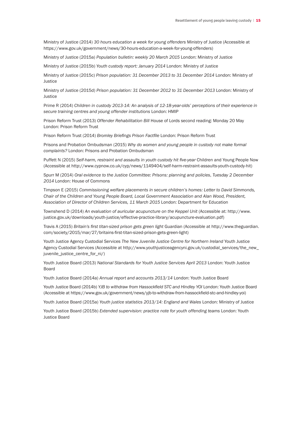Ministry of Justice (2014) *30 hours education a week for young offenders* Ministry of Justice (Accessible at https://www.gov.uk/government/news/30-hours-education-a-week-for-young-offenders)

Ministry of Justice (2015a) *Population bulletin: weekly 20 March 2015* London: Ministry of Justice

Ministry of Justice (2015b) *Youth custody report: January 2014* London: Ministry of Justice

Ministry of Justice (2015c) *Prison population: 31 December 2013 to 31 December 2014* London: Ministry of Justice

Ministry of Justice (2015d) *Prison population: 31 December 2012 to 31 December 2013* London: Ministry of **Justice** 

Prime R (2014) *Children in custody 2013-14: An analysis of 12-18-year-olds' perceptions of their experience in secure training centres and young offender institutions* London: HMIP

Prison Reform Trust (2013) *Offender Rehabilitation Bill* House of Lords second reading: Monday 20 May London: Prison Reform Trust

Prison Reform Trust (2014) *Bromley Briefings Prison Factfile* London: Prison Reform Trust

Prisons and Probation Ombudsman (2015) *Why do women and young people in custody not make formal complaints?* London: Prisons and Probation Ombudsman

Puffett N (2015) *Self-harm, restraint and assaults in youth custody hit five-year* Children and Young People Now (Accessible at http://www.cypnow.co.uk/cyp/news/1149404/self-harm-restraint-assaults-youth-custody-hit)

Spurr M (2014) *Oral evidence to the Justice Committee: Prisons: planning and policies*, *Tuesday 2 December 2014* London: House of Commons

Timpson E (2015) *Commissioning welfare placements in secure children's homes: Letter to David Simmonds, Chair of the Children and Young People Board, Local Government Association and Alan Wood, President, Association of Director of Children Services, 11 March 2015* London: Department for Education

Townshend D (2014) *An evaluation of auricular acupuncture on the Keppel Unit* (Accessible at: http://www. justice.gov.uk/downloads/youth-justice/effective-practice-library/acupuncture-evaluation.pdf)

Travis A (2015) *Britain's first titan-sized prison gets green light* Guardian (Accessible at http://www.theguardian. com/society/2015/mar/27/britains-first-titan-sized-prison-gets-green-light)

Youth Justice Agency Custodial Services *The New Juvenile Justice Centre for Northern Ireland* Youth Justice Agency Custodial Services (Accessible at http://www.youthjusticeagencyni.gov.uk/custodial\_services/the\_new\_ juvenile\_justice\_centre\_for\_ni/)

Youth Justice Board (2013) *National Standards for Youth Justice Services April 2013* London: Youth Justice Board

Youth Justice Board (2014a) *Annual report and accounts 2013/14* London: Youth Justice Board

Youth Justice Board (2014b) *YJB to withdraw from Hassockfield STC and Hindley YOI* London: Youth Justice Board (Accessible at https://www.gov.uk/government/news/yjb-to-withdraw-from-hassockfield-stc-and-hindley-yoi)

Youth Justice Board (2015a) *Youth justice statistics 2013/14: England and Wales* London: Ministry of Justice

Youth Justice Board (2015b) *Extended supervision: practice note for youth offending teams London: Youth* Justice Board